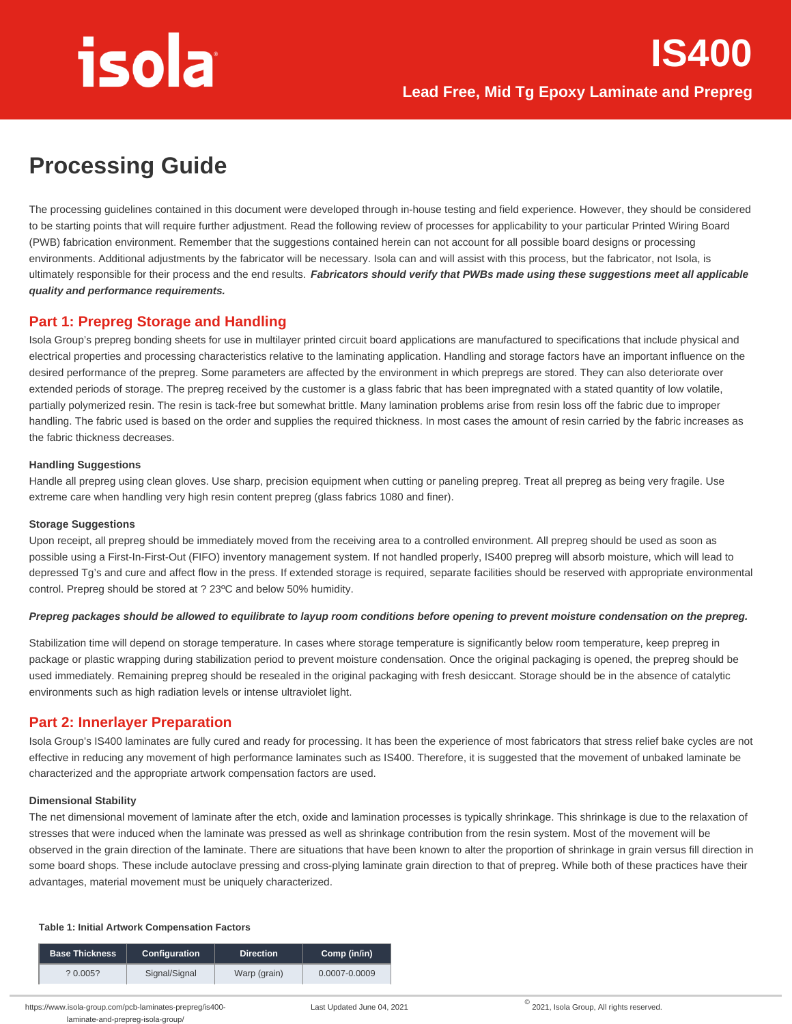# **Processing Guide**

The processing guidelines contained in this document were developed through in-house testing and field experience. However, they should be considered to be starting points that will require further adjustment. Read the following review of processes for applicability to your particular Printed Wiring Board (PWB) fabrication environment. Remember that the suggestions contained herein can not account for all possible board designs or processing environments. Additional adjustments by the fabricator will be necessary. Isola can and will assist with this process, but the fabricator, not Isola, is ultimately responsible for their process and the end results. **Fabricators should verify that PWBs made using these suggestions meet all applicable quality and performance requirements.**

### **Part 1: Prepreg Storage and Handling**

Isola Group's prepreg bonding sheets for use in multilayer printed circuit board applications are manufactured to specifications that include physical and electrical properties and processing characteristics relative to the laminating application. Handling and storage factors have an important influence on the desired performance of the prepreg. Some parameters are affected by the environment in which prepregs are stored. They can also deteriorate over extended periods of storage. The prepreg received by the customer is a glass fabric that has been impregnated with a stated quantity of low volatile, partially polymerized resin. The resin is tack-free but somewhat brittle. Many lamination problems arise from resin loss off the fabric due to improper handling. The fabric used is based on the order and supplies the required thickness. In most cases the amount of resin carried by the fabric increases as the fabric thickness decreases.

#### **Handling Suggestions**

Handle all prepreg using clean gloves. Use sharp, precision equipment when cutting or paneling prepreg. Treat all prepreg as being very fragile. Use extreme care when handling very high resin content prepreg (glass fabrics 1080 and finer).

#### **Storage Suggestions**

Upon receipt, all prepreg should be immediately moved from the receiving area to a controlled environment. All prepreg should be used as soon as possible using a First-In-First-Out (FIFO) inventory management system. If not handled properly, IS400 prepreg will absorb moisture, which will lead to depressed Tg's and cure and affect flow in the press. If extended storage is required, separate facilities should be reserved with appropriate environmental control. Prepreg should be stored at ? 23ºC and below 50% humidity.

#### **Prepreg packages should be allowed to equilibrate to layup room conditions before opening to prevent moisture condensation on the prepreg.**

Stabilization time will depend on storage temperature. In cases where storage temperature is significantly below room temperature, keep prepreg in package or plastic wrapping during stabilization period to prevent moisture condensation. Once the original packaging is opened, the prepreg should be used immediately. Remaining prepreg should be resealed in the original packaging with fresh desiccant. Storage should be in the absence of catalytic environments such as high radiation levels or intense ultraviolet light.

## **Part 2: Innerlayer Preparation**

Isola Group's IS400 laminates are fully cured and ready for processing. It has been the experience of most fabricators that stress relief bake cycles are not effective in reducing any movement of high performance laminates such as IS400. Therefore, it is suggested that the movement of unbaked laminate be characterized and the appropriate artwork compensation factors are used.

#### **Dimensional Stability**

The net dimensional movement of laminate after the etch, oxide and lamination processes is typically shrinkage. This shrinkage is due to the relaxation of stresses that were induced when the laminate was pressed as well as shrinkage contribution from the resin system. Most of the movement will be observed in the grain direction of the laminate. There are situations that have been known to alter the proportion of shrinkage in grain versus fill direction in some board shops. These include autoclave pressing and cross-plying laminate grain direction to that of prepreg. While both of these practices have their advantages, material movement must be uniquely characterized.

#### **Table 1: Initial Artwork Compensation Factors**

| <b>Base Thickness</b> | <b>Configuration</b> | <b>Direction</b> | Comp (in/in)  |
|-----------------------|----------------------|------------------|---------------|
| ? 0.005?              | Signal/Signal        | Warp (grain)     | 0.0007-0.0009 |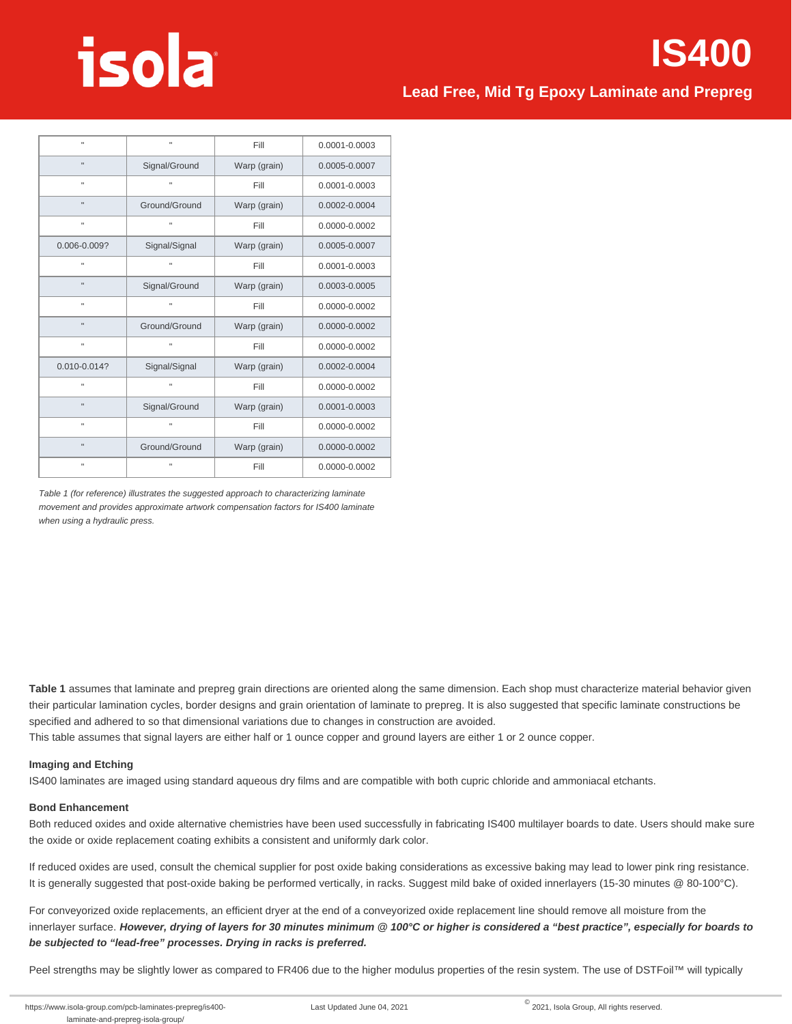# **IS400**

# **Lead Free, Mid Tg Epoxy Laminate and Prepreg**

| $\mathbf{u}$   | п                             | Fill         |               |
|----------------|-------------------------------|--------------|---------------|
| $\blacksquare$ | Signal/Ground<br>Warp (grain) |              | 0.0005-0.0007 |
| $\mathbf{u}$   | п                             | Fill         | 0.0001-0.0003 |
| $\mathbf{u}$   | Ground/Ground                 | Warp (grain) | 0.0002-0.0004 |
| $\blacksquare$ | $\mathbf{u}$                  | Fill         | 0.0000-0.0002 |
| 0.006-0.009?   | Signal/Signal                 | Warp (grain) | 0.0005-0.0007 |
| $\mathbf{u}$   | $\mathbf{u}$                  | Fill         | 0.0001-0.0003 |
| $\mathbf{u}$   | Signal/Ground                 | Warp (grain) | 0.0003-0.0005 |
| $\mathbf{u}$   | $\mathbf{u}$                  | Fill         | 0.0000-0.0002 |
| $\mathbf{u}$   | Ground/Ground                 | Warp (grain) | 0.0000-0.0002 |
| $\blacksquare$ | $\mathbf{u}$                  | Fill         | 0.0000-0.0002 |
| 0.010-0.014?   | Signal/Signal                 | Warp (grain) | 0.0002-0.0004 |
| $\blacksquare$ | $\mathbf{u}$                  | Fill         | 0.0000-0.0002 |
| $\mathbf{u}$   | Signal/Ground                 | Warp (grain) | 0.0001-0.0003 |
| $\mathbf{u}$   | $\mathbf{u}$                  | Fill         | 0.0000-0.0002 |
| $\blacksquare$ | Ground/Ground                 | Warp (grain) | 0.0000-0.0002 |
| $\mathbf{u}$   | $\mathbf{u}$                  | Fill         | 0.0000-0.0002 |

Table 1 (for reference) illustrates the suggested approach to characterizing laminate movement and provides approximate artwork compensation factors for IS400 laminate when using a hydraulic press.

**Table 1** assumes that laminate and prepreg grain directions are oriented along the same dimension. Each shop must characterize material behavior given their particular lamination cycles, border designs and grain orientation of laminate to prepreg. It is also suggested that specific laminate constructions be specified and adhered to so that dimensional variations due to changes in construction are avoided.

This table assumes that signal layers are either half or 1 ounce copper and ground layers are either 1 or 2 ounce copper.

#### **Imaging and Etching**

IS400 laminates are imaged using standard aqueous dry films and are compatible with both cupric chloride and ammoniacal etchants.

#### **Bond Enhancement**

Both reduced oxides and oxide alternative chemistries have been used successfully in fabricating IS400 multilayer boards to date. Users should make sure the oxide or oxide replacement coating exhibits a consistent and uniformly dark color.

If reduced oxides are used, consult the chemical supplier for post oxide baking considerations as excessive baking may lead to lower pink ring resistance. It is generally suggested that post-oxide baking be performed vertically, in racks. Suggest mild bake of oxided innerlayers (15-30 minutes @ 80-100°C).

For conveyorized oxide replacements, an efficient dryer at the end of a conveyorized oxide replacement line should remove all moisture from the innerlayer surface. **However, drying of layers for 30 minutes minimum @ 100°C or higher is considered a "best practice", especially for boards to be subjected to "lead-free" processes. Drying in racks is preferred.** 

Peel strengths may be slightly lower as compared to FR406 due to the higher modulus properties of the resin system. The use of DSTFoil™ will typically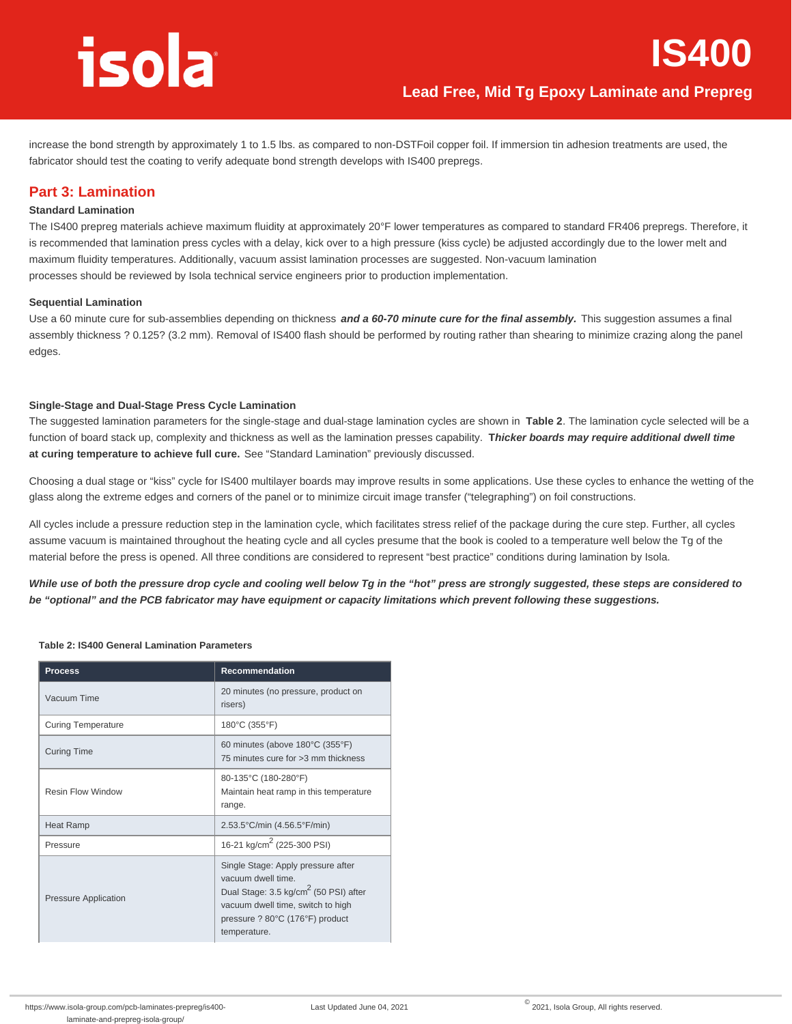**IS400**

increase the bond strength by approximately 1 to 1.5 lbs. as compared to non-DSTFoil copper foil. If immersion tin adhesion treatments are used, the fabricator should test the coating to verify adequate bond strength develops with IS400 prepregs.

# **Part 3: Lamination**

#### **Standard Lamination**

The IS400 prepreg materials achieve maximum fluidity at approximately 20°F lower temperatures as compared to standard FR406 prepregs. Therefore, it is recommended that lamination press cycles with a delay, kick over to a high pressure (kiss cycle) be adjusted accordingly due to the lower melt and maximum fluidity temperatures. Additionally, vacuum assist lamination processes are suggested. Non-vacuum lamination processes should be reviewed by Isola technical service engineers prior to production implementation.

#### **Sequential Lamination**

Use a 60 minute cure for sub-assemblies depending on thickness **and a 60-70 minute cure for the final assembly.** This suggestion assumes a final assembly thickness ? 0.125? (3.2 mm). Removal of IS400 flash should be performed by routing rather than shearing to minimize crazing along the panel edges.

#### **Single-Stage and Dual-Stage Press Cycle Lamination**

The suggested lamination parameters for the single-stage and dual-stage lamination cycles are shown in **Table 2**. The lamination cycle selected will be a function of board stack up, complexity and thickness as well as the lamination presses capability. **Thicker boards may require additional dwell time at curing temperature to achieve full cure.** See "Standard Lamination" previously discussed.

Choosing a dual stage or "kiss" cycle for IS400 multilayer boards may improve results in some applications. Use these cycles to enhance the wetting of the glass along the extreme edges and corners of the panel or to minimize circuit image transfer ("telegraphing") on foil constructions.

All cycles include a pressure reduction step in the lamination cycle, which facilitates stress relief of the package during the cure step. Further, all cycles assume vacuum is maintained throughout the heating cycle and all cycles presume that the book is cooled to a temperature well below the Tg of the material before the press is opened. All three conditions are considered to represent "best practice" conditions during lamination by Isola.

**While use of both the pressure drop cycle and cooling well below Tg in the "hot" press are strongly suggested, these steps are considered to be "optional" and the PCB fabricator may have equipment or capacity limitations which prevent following these suggestions.**

#### **Table 2: IS400 General Lamination Parameters**

| <b>Process</b>              | <b>Recommendation</b>                                                                                                                                                                                 |
|-----------------------------|-------------------------------------------------------------------------------------------------------------------------------------------------------------------------------------------------------|
| Vacuum Time                 | 20 minutes (no pressure, product on<br>risers)                                                                                                                                                        |
| <b>Curing Temperature</b>   | 180°C (355°F)                                                                                                                                                                                         |
| <b>Curing Time</b>          | 60 minutes (above 180°C (355°F)<br>75 minutes cure for >3 mm thickness                                                                                                                                |
| <b>Resin Flow Window</b>    | 80-135°C (180-280°F)<br>Maintain heat ramp in this temperature<br>range.                                                                                                                              |
| <b>Heat Ramp</b>            | $2.53.5^{\circ}$ C/min (4.56.5 $^{\circ}$ F/min)                                                                                                                                                      |
| Pressure                    | 16-21 kg/cm <sup>2</sup> (225-300 PSI)                                                                                                                                                                |
| <b>Pressure Application</b> | Single Stage: Apply pressure after<br>vacuum dwell time.<br>Dual Stage: 3.5 kg/cm <sup>2</sup> (50 PSI) after<br>vacuum dwell time, switch to high<br>pressure ? 80°C (176°F) product<br>temperature. |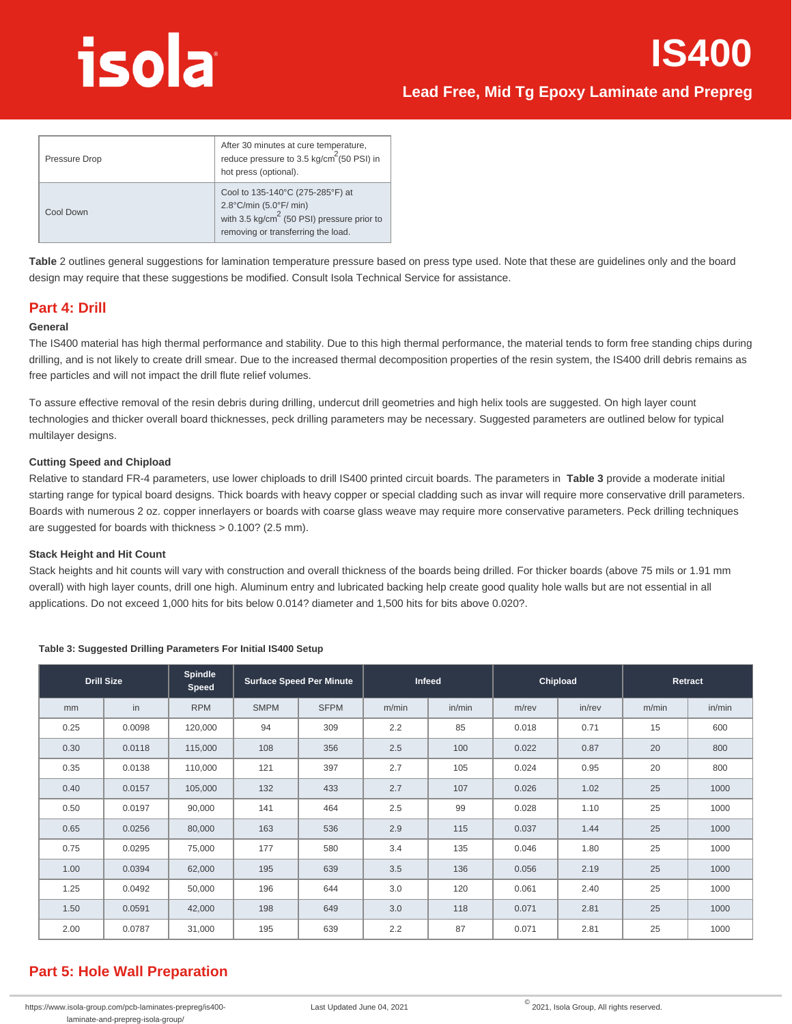# **Lead Free, Mid Tg Epoxy Laminate and Prepreg**

| Pressure Drop | After 30 minutes at cure temperature,<br>reduce pressure to 3.5 kg/cm <sup>2</sup> (50 PSI) in<br>hot press (optional).                                                         |
|---------------|---------------------------------------------------------------------------------------------------------------------------------------------------------------------------------|
| Cool Down     | Cool to 135-140°C (275-285°F) at<br>$2.8^{\circ}$ C/min (5.0 $^{\circ}$ F/ min)<br>with 3.5 kg/cm <sup>2</sup> (50 PSI) pressure prior to<br>removing or transferring the load. |

**Table** 2 outlines general suggestions for lamination temperature pressure based on press type used. Note that these are guidelines only and the board design may require that these suggestions be modified. Consult Isola Technical Service for assistance.

### **Part 4: Drill**

#### **General**

The IS400 material has high thermal performance and stability. Due to this high thermal performance, the material tends to form free standing chips during drilling, and is not likely to create drill smear. Due to the increased thermal decomposition properties of the resin system, the IS400 drill debris remains as free particles and will not impact the drill flute relief volumes.

To assure effective removal of the resin debris during drilling, undercut drill geometries and high helix tools are suggested. On high layer count technologies and thicker overall board thicknesses, peck drilling parameters may be necessary. Suggested parameters are outlined below for typical multilayer designs.

#### **Cutting Speed and Chipload**

Relative to standard FR-4 parameters, use lower chiploads to drill IS400 printed circuit boards. The parameters in **Table 3** provide a moderate initial starting range for typical board designs. Thick boards with heavy copper or special cladding such as invar will require more conservative drill parameters. Boards with numerous 2 oz. copper innerlayers or boards with coarse glass weave may require more conservative parameters. Peck drilling techniques are suggested for boards with thickness > 0.100? (2.5 mm).

#### **Stack Height and Hit Count**

Stack heights and hit counts will vary with construction and overall thickness of the boards being drilled. For thicker boards (above 75 mils or 1.91 mm overall) with high layer counts, drill one high. Aluminum entry and lubricated backing help create good quality hole walls but are not essential in all applications. Do not exceed 1,000 hits for bits below 0.014? diameter and 1,500 hits for bits above 0.020?.

| <b>Drill Size</b> |        | <b>Spindle</b><br>Speed |             | <b>Surface Speed Per Minute</b> |       | Infeed |          | Chipload  |       | Retract |
|-------------------|--------|-------------------------|-------------|---------------------------------|-------|--------|----------|-----------|-------|---------|
| mm                | in     | <b>RPM</b>              | <b>SMPM</b> | <b>SFPM</b>                     | m/min | in/min | $m$ /rev | $in$ /rev | m/min | in/min  |
| 0.25              | 0.0098 | 120,000                 | 94          | 309                             | 2.2   | 85     | 0.018    | 0.71      | 15    | 600     |
| 0.30              | 0.0118 | 115,000                 | 108         | 356                             | 2.5   | 100    | 0.022    | 0.87      | 20    | 800     |
| 0.35              | 0.0138 | 110,000                 | 121         | 397                             | 2.7   | 105    | 0.024    | 0.95      | 20    | 800     |
| 0.40              | 0.0157 | 105,000                 | 132         | 433                             | 2.7   | 107    | 0.026    | 1.02      | 25    | 1000    |
| 0.50              | 0.0197 | 90,000                  | 141         | 464                             | 2.5   | 99     | 0.028    | 1.10      | 25    | 1000    |
| 0.65              | 0.0256 | 80,000                  | 163         | 536                             | 2.9   | 115    | 0.037    | 1.44      | 25    | 1000    |
| 0.75              | 0.0295 | 75,000                  | 177         | 580                             | 3.4   | 135    | 0.046    | 1.80      | 25    | 1000    |
| 1.00              | 0.0394 | 62,000                  | 195         | 639                             | 3.5   | 136    | 0.056    | 2.19      | 25    | 1000    |
| 1.25              | 0.0492 | 50,000                  | 196         | 644                             | 3.0   | 120    | 0.061    | 2.40      | 25    | 1000    |
| 1.50              | 0.0591 | 42,000                  | 198         | 649                             | 3.0   | 118    | 0.071    | 2.81      | 25    | 1000    |
| 2.00              | 0.0787 | 31,000                  | 195         | 639                             | 2.2   | 87     | 0.071    | 2.81      | 25    | 1000    |

#### **Table 3: Suggested Drilling Parameters For Initial IS400 Setup**

# **Part 5: Hole Wall Preparation**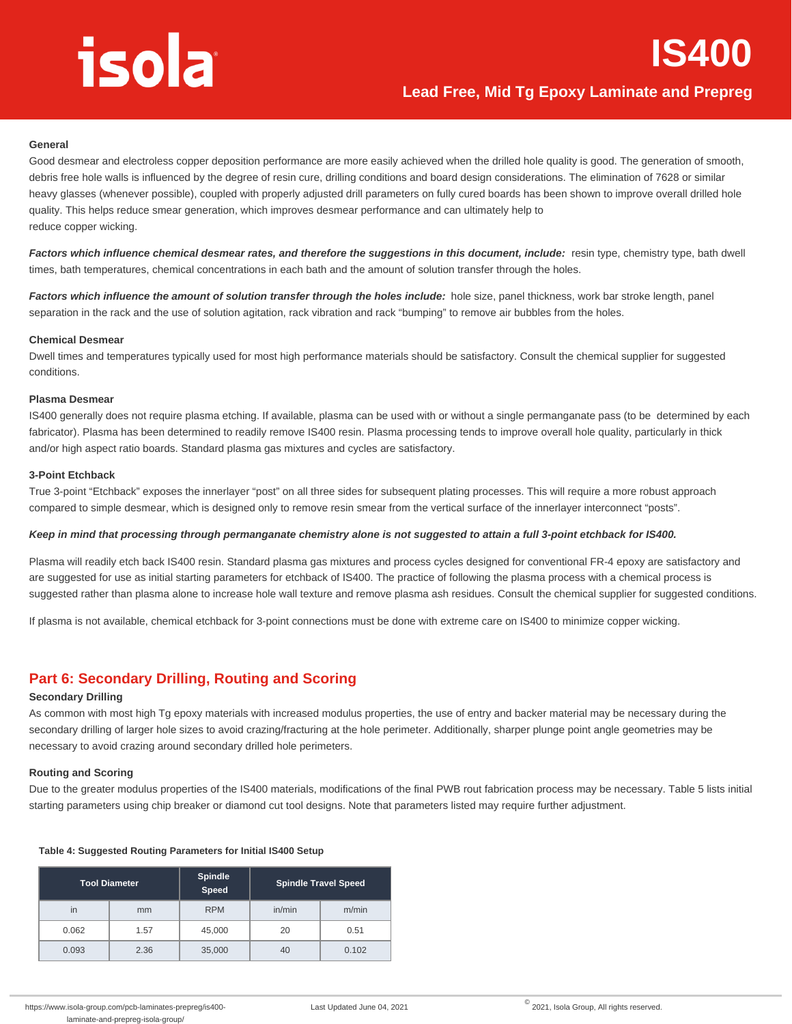#### **General**

Good desmear and electroless copper deposition performance are more easily achieved when the drilled hole quality is good. The generation of smooth, debris free hole walls is influenced by the degree of resin cure, drilling conditions and board design considerations. The elimination of 7628 or similar heavy glasses (whenever possible), coupled with properly adjusted drill parameters on fully cured boards has been shown to improve overall drilled hole quality. This helps reduce smear generation, which improves desmear performance and can ultimately help to reduce copper wicking.

Factors which influence chemical desmear rates, and therefore the suggestions in this document, include: resin type, chemistry type, bath dwell times, bath temperatures, chemical concentrations in each bath and the amount of solution transfer through the holes.

Factors which influence the amount of solution transfer through the holes include: hole size, panel thickness, work bar stroke length, panel separation in the rack and the use of solution agitation, rack vibration and rack "bumping" to remove air bubbles from the holes.

#### **Chemical Desmear**

Dwell times and temperatures typically used for most high performance materials should be satisfactory. Consult the chemical supplier for suggested conditions.

#### **Plasma Desmear**

IS400 generally does not require plasma etching. If available, plasma can be used with or without a single permanganate pass (to be determined by each fabricator). Plasma has been determined to readily remove IS400 resin. Plasma processing tends to improve overall hole quality, particularly in thick and/or high aspect ratio boards. Standard plasma gas mixtures and cycles are satisfactory.

#### **3-Point Etchback**

True 3-point "Etchback" exposes the innerlayer "post" on all three sides for subsequent plating processes. This will require a more robust approach compared to simple desmear, which is designed only to remove resin smear from the vertical surface of the innerlayer interconnect "posts".

#### **Keep in mind that processing through permanganate chemistry alone is not suggested to attain a full 3-point etchback for IS400.**

Plasma will readily etch back IS400 resin. Standard plasma gas mixtures and process cycles designed for conventional FR-4 epoxy are satisfactory and are suggested for use as initial starting parameters for etchback of IS400. The practice of following the plasma process with a chemical process is suggested rather than plasma alone to increase hole wall texture and remove plasma ash residues. Consult the chemical supplier for suggested conditions.

If plasma is not available, chemical etchback for 3-point connections must be done with extreme care on IS400 to minimize copper wicking.

### **Part 6: Secondary Drilling, Routing and Scoring**

#### **Secondary Drilling**

As common with most high Tg epoxy materials with increased modulus properties, the use of entry and backer material may be necessary during the secondary drilling of larger hole sizes to avoid crazing/fracturing at the hole perimeter. Additionally, sharper plunge point angle geometries may be necessary to avoid crazing around secondary drilled hole perimeters.

#### **Routing and Scoring**

Due to the greater modulus properties of the IS400 materials, modifications of the final PWB rout fabrication process may be necessary. Table 5 lists initial starting parameters using chip breaker or diamond cut tool designs. Note that parameters listed may require further adjustment.

| <b>Tool Diameter</b> |      | Spindle<br>Speed | <b>Spindle Travel Speed</b> |       |  |
|----------------------|------|------------------|-----------------------------|-------|--|
| in                   | mm   | <b>RPM</b>       | in/min                      | m/min |  |
| 0.062                | 1.57 | 45,000           | 20                          | 0.51  |  |
| 0.093                | 2.36 | 35,000           | 40                          | 0.102 |  |

#### **Table 4: Suggested Routing Parameters for Initial IS400 Setup**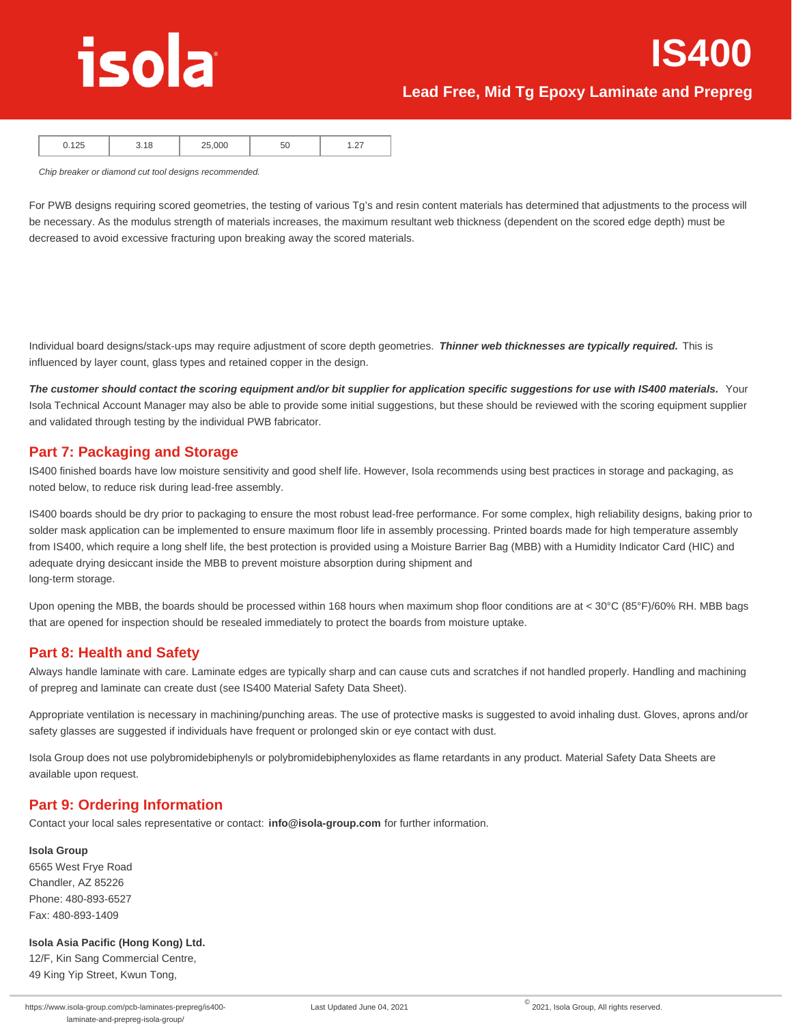**IS400**

|  | $\overline{\phantom{a}}$<br>$-$ |
|--|---------------------------------|
|--|---------------------------------|

Chip breaker or diamond cut tool designs recommended.

For PWB designs requiring scored geometries, the testing of various Tg's and resin content materials has determined that adjustments to the process will be necessary. As the modulus strength of materials increases, the maximum resultant web thickness (dependent on the scored edge depth) must be decreased to avoid excessive fracturing upon breaking away the scored materials.

Individual board designs/stack-ups may require adjustment of score depth geometries. **Thinner web thicknesses are typically required.** This is influenced by layer count, glass types and retained copper in the design.

**The customer should contact the scoring equipment and/or bit supplier for application specific suggestions for use with IS400 materials.** Your Isola Technical Account Manager may also be able to provide some initial suggestions, but these should be reviewed with the scoring equipment supplier and validated through testing by the individual PWB fabricator.

## **Part 7: Packaging and Storage**

IS400 finished boards have low moisture sensitivity and good shelf life. However, Isola recommends using best practices in storage and packaging, as noted below, to reduce risk during lead-free assembly.

IS400 boards should be dry prior to packaging to ensure the most robust lead-free performance. For some complex, high reliability designs, baking prior to solder mask application can be implemented to ensure maximum floor life in assembly processing. Printed boards made for high temperature assembly from IS400, which require a long shelf life, the best protection is provided using a Moisture Barrier Bag (MBB) with a Humidity Indicator Card (HIC) and adequate drying desiccant inside the MBB to prevent moisture absorption during shipment and long-term storage.

Upon opening the MBB, the boards should be processed within 168 hours when maximum shop floor conditions are at < 30°C (85°F)/60% RH. MBB bags that are opened for inspection should be resealed immediately to protect the boards from moisture uptake.

## **Part 8: Health and Safety**

Always handle laminate with care. Laminate edges are typically sharp and can cause cuts and scratches if not handled properly. Handling and machining of prepreg and laminate can create dust (see IS400 Material Safety Data Sheet).

Appropriate ventilation is necessary in machining/punching areas. The use of protective masks is suggested to avoid inhaling dust. Gloves, aprons and/or safety glasses are suggested if individuals have frequent or prolonged skin or eye contact with dust.

Isola Group does not use polybromidebiphenyls or polybromidebiphenyloxides as flame retardants in any product. Material Safety Data Sheets are available upon request.

## **Part 9: Ordering Information**

Contact your local sales representative or contact: **info@isola-group.com** for further information.

#### **Isola Group**

6565 West Frye Road Chandler, AZ 85226 Phone: 480-893-6527 Fax: 480-893-1409

#### **Isola Asia Pacific (Hong Kong) Ltd.**

12/F, Kin Sang Commercial Centre, 49 King Yip Street, Kwun Tong,